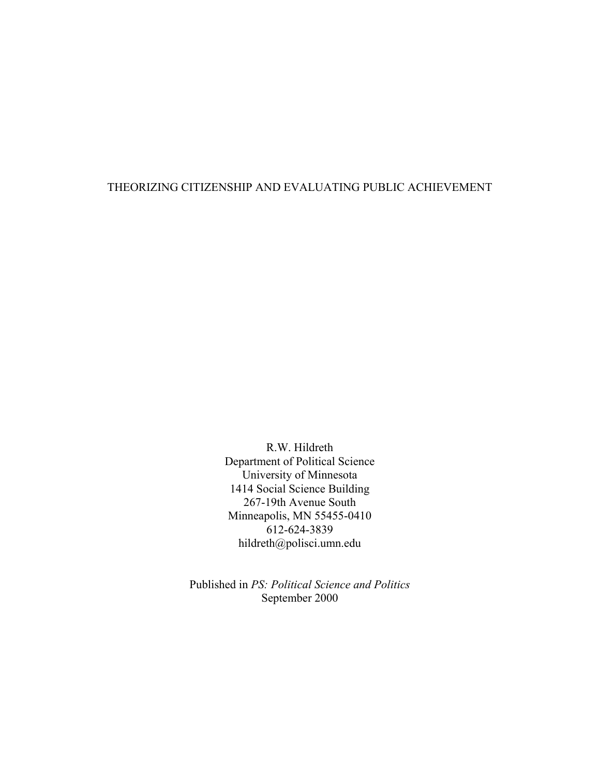# THEORIZING CITIZENSHIP AND EVALUATING PUBLIC ACHIEVEMENT

R.W. Hildreth Department of Political Science University of Minnesota 1414 Social Science Building 267-19th Avenue South Minneapolis, MN 55455-0410 612-624-3839 hildreth@polisci.umn.edu

 Published in *PS: Political Science and Politics* September 2000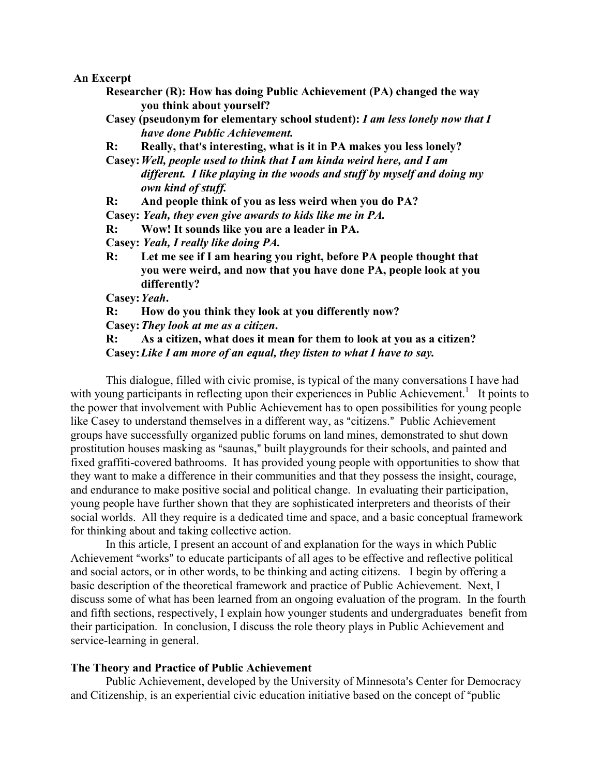**An Excerpt** 

- **Researcher (R): How has doing Public Achievement (PA) changed the way you think about yourself?**
- **Casey (pseudonym for elementary school student):** *I am less lonely now that I have done Public Achievement.*
- **R:** Really, that's interesting, what is it in PA makes you less lonely?

**Casey:** *Well, people used to think that I am kinda weird here, and I am different. I like playing in the woods and stuff by myself and doing my own kind of stuff.*

**R: And people think of you as less weird when you do PA?** 

**Casey:** *Yeah, they even give awards to kids like me in PA.*

**R: Wow! It sounds like you are a leader in PA.** 

**Casey:** *Yeah, I really like doing PA.*

**R: Let me see if I am hearing you right, before PA people thought that you were weird, and now that you have done PA, people look at you differently?** 

**Casey:** *Yeah***.** 

- **R: How do you think they look at you differently now?**
- **Casey:** *They look at me as a citizen***.**

**R: As a citizen, what does it mean for them to look at you as a citizen? Casey:** *Like I am more of an equal, they listen to what I have to say.*

This dialogue, filled with civic promise, is typical of the many conversations I have had with young participants in reflecting upon their experiences in Public Achievement.<sup>[1](#page-9-0)</sup> It points to the power that involvement with Public Achievement has to open possibilities for young people like Casey to understand themselves in a different way, as "citizens." Public Achievement groups have successfully organized public forums on land mines, demonstrated to shut down prostitution houses masking as "saunas," built playgrounds for their schools, and painted and fixed graffiti-covered bathrooms. It has provided young people with opportunities to show that they want to make a difference in their communities and that they possess the insight, courage, and endurance to make positive social and political change. In evaluating their participation, young people have further shown that they are sophisticated interpreters and theorists of their social worlds. All they require is a dedicated time and space, and a basic conceptual framework for thinking about and taking collective action.

In this article, I present an account of and explanation for the ways in which Public Achievement "works" to educate participants of all ages to be effective and reflective political and social actors, or in other words, to be thinking and acting citizens. I begin by offering a basic description of the theoretical framework and practice of Public Achievement. Next, I discuss some of what has been learned from an ongoing evaluation of the program. In the fourth and fifth sections, respectively, I explain how younger students and undergraduates benefit from their participation. In conclusion, I discuss the role theory plays in Public Achievement and service-learning in general.

#### **The Theory and Practice of Public Achievement**

Public Achievement, developed by the University of Minnesota's Center for Democracy and Citizenship, is an experiential civic education initiative based on the concept of "public"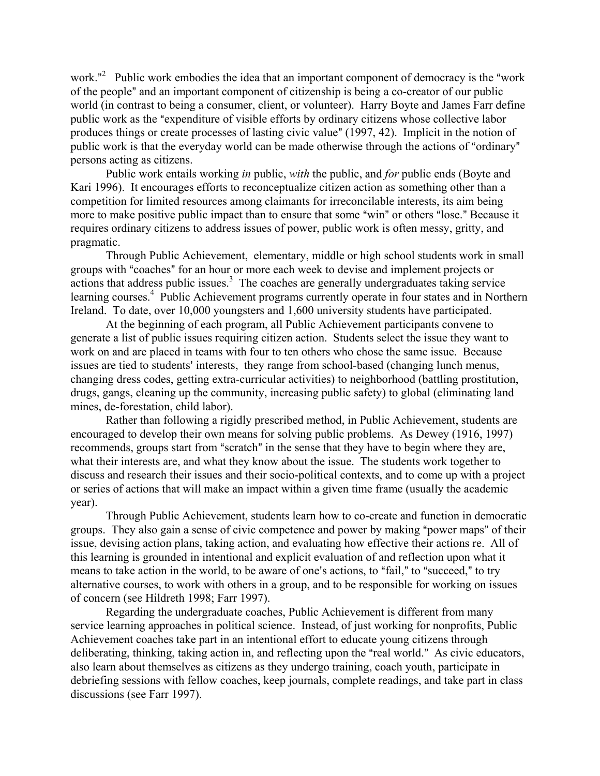work."<sup>[2](#page-9-1)</sup> Public work embodies the idea that an important component of democracy is the "work" of the people" and an important component of citizenship is being a co-creator of our public world (in contrast to being a consumer, client, or volunteer). Harry Boyte and James Farr define public work as the "expenditure of visible efforts by ordinary citizens whose collective labor produces things or create processes of lasting civic value" (1997, 42). Implicit in the notion of public work is that the everyday world can be made otherwise through the actions of "ordinary" persons acting as citizens.

Public work entails working *in* public, *with* the public, and *for* public ends (Boyte and Kari 1996). It encourages efforts to reconceptualize citizen action as something other than a competition for limited resources among claimants for irreconcilable interests, its aim being more to make positive public impact than to ensure that some "win" or others "lose." Because it requires ordinary citizens to address issues of power, public work is often messy, gritty, and pragmatic.

Through Public Achievement, elementary, middle or high school students work in small groups with "coaches" for an hour or more each week to devise and implement projects or  $\alpha$  actions that address public issues.<sup>[3](#page-9-2)</sup> The coaches are generally undergraduates taking service learning courses.<sup>[4](#page-9-3)</sup> Public Achievement programs currently operate in four states and in Northern Ireland. To date, over 10,000 youngsters and 1,600 university students have participated.

At the beginning of each program, all Public Achievement participants convene to generate a list of public issues requiring citizen action. Students select the issue they want to work on and are placed in teams with four to ten others who chose the same issue. Because issues are tied to students' interests, they range from school-based (changing lunch menus, changing dress codes, getting extra-curricular activities) to neighborhood (battling prostitution, drugs, gangs, cleaning up the community, increasing public safety) to global (eliminating land mines, de-forestation, child labor).

Rather than following a rigidly prescribed method, in Public Achievement, students are encouraged to develop their own means for solving public problems. As Dewey (1916, 1997) recommends, groups start from "scratch" in the sense that they have to begin where they are, what their interests are, and what they know about the issue. The students work together to discuss and research their issues and their socio-political contexts, and to come up with a project or series of actions that will make an impact within a given time frame (usually the academic year).

Through Public Achievement, students learn how to co-create and function in democratic groups. They also gain a sense of civic competence and power by making "power maps" of their issue, devising action plans, taking action, and evaluating how effective their actions re. All of this learning is grounded in intentional and explicit evaluation of and reflection upon what it means to take action in the world, to be aware of one's actions, to "fail," to "succeed," to try alternative courses, to work with others in a group, and to be responsible for working on issues of concern (see Hildreth 1998; Farr 1997).

Regarding the undergraduate coaches, Public Achievement is different from many service learning approaches in political science. Instead, of just working for nonprofits, Public Achievement coaches take part in an intentional effort to educate young citizens through deliberating, thinking, taking action in, and reflecting upon the "real world." As civic educators, also learn about themselves as citizens as they undergo training, coach youth, participate in debriefing sessions with fellow coaches, keep journals, complete readings, and take part in class discussions (see Farr 1997).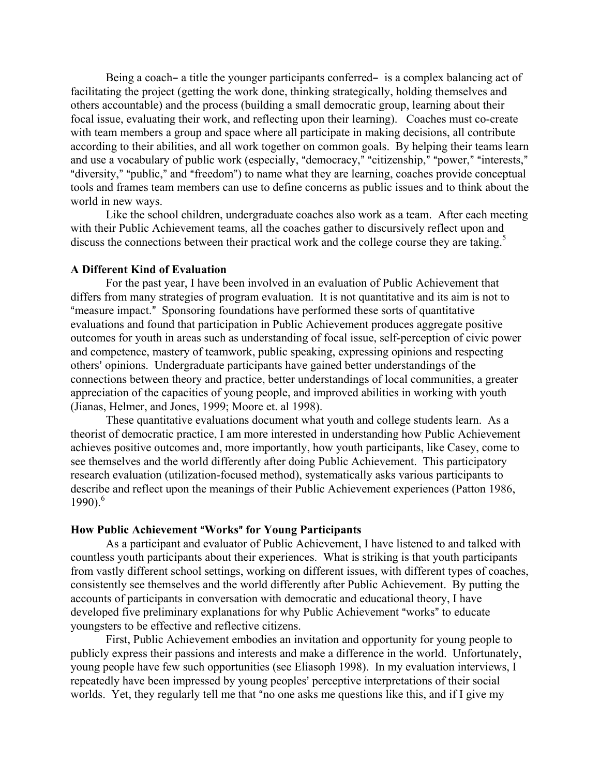Being a coach- a title the younger participants conferred- is a complex balancing act of facilitating the project (getting the work done, thinking strategically, holding themselves and others accountable) and the process (building a small democratic group, learning about their focal issue, evaluating their work, and reflecting upon their learning). Coaches must co-create with team members a group and space where all participate in making decisions, all contribute according to their abilities, and all work together on common goals. By helping their teams learn and use a vocabulary of public work (especially, "democracy," "citizenship," "power," "interests," "diversity," "public," and "freedom") to name what they are learning, coaches provide conceptual tools and frames team members can use to define concerns as public issues and to think about the world in new ways.

Like the school children, undergraduate coaches also work as a team. After each meeting with their Public Achievement teams, all the coaches gather to discursively reflect upon and discuss the connections between their practical work and the college course they are taking.<sup>[5](#page-9-4)</sup>

# **A Different Kind of Evaluation**

For the past year, I have been involved in an evaluation of Public Achievement that differs from many strategies of program evaluation. It is not quantitative and its aim is not to "measure impact." Sponsoring foundations have performed these sorts of quantitative evaluations and found that participation in Public Achievement produces aggregate positive outcomes for youth in areas such as understanding of focal issue, self-perception of civic power and competence, mastery of teamwork, public speaking, expressing opinions and respecting others' opinions. Undergraduate participants have gained better understandings of the connections between theory and practice, better understandings of local communities, a greater appreciation of the capacities of young people, and improved abilities in working with youth (Jianas, Helmer, and Jones, 1999; Moore et. al 1998).

These quantitative evaluations document what youth and college students learn. As a theorist of democratic practice, I am more interested in understanding how Public Achievement achieves positive outcomes and, more importantly, how youth participants, like Casey, come to see themselves and the world differently after doing Public Achievement. This participatory research evaluation (utilization-focused method), systematically asks various participants to describe and reflect upon the meanings of their Public Achievement experiences (Patton 1986, 1990). $^{6}$ 

## **How Public Achievement "Works" for Young Participants**

As a participant and evaluator of Public Achievement, I have listened to and talked with countless youth participants about their experiences. What is striking is that youth participants from vastly different school settings, working on different issues, with different types of coaches, consistently see themselves and the world differently after Public Achievement. By putting the accounts of participants in conversation with democratic and educational theory, I have developed five preliminary explanations for why Public Achievement "works" to educate youngsters to be effective and reflective citizens.

First, Public Achievement embodies an invitation and opportunity for young people to publicly express their passions and interests and make a difference in the world. Unfortunately, young people have few such opportunities (see Eliasoph 1998). In my evaluation interviews, I repeatedly have been impressed by young peoples' perceptive interpretations of their social worlds. Yet, they regularly tell me that "no one asks me questions like this, and if I give my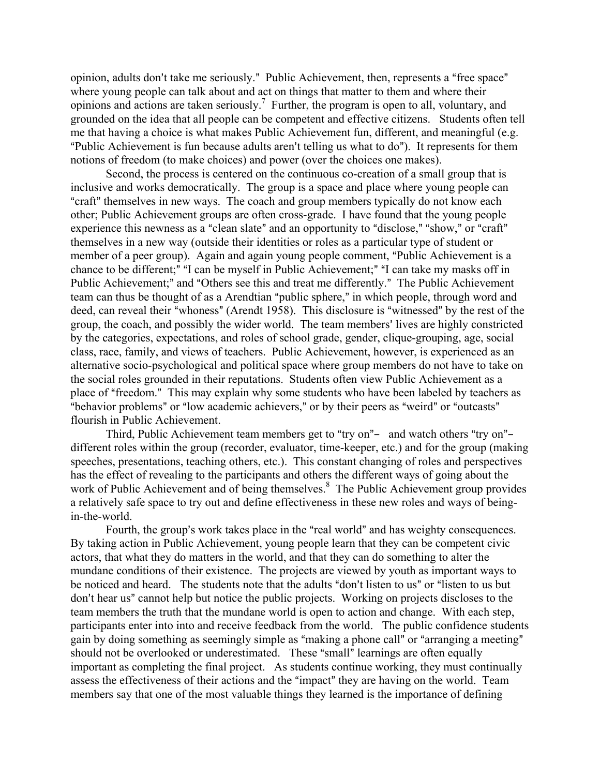opinion, adults don't take me seriously." Public Achievement, then, represents a "free space" where young people can talk about and act on things that matter to them and where their opinions and actions are taken seriously.[7](#page-9-6) Further, the program is open to all, voluntary, and grounded on the idea that all people can be competent and effective citizens. Students often tell me that having a choice is what makes Public Achievement fun, different, and meaningful (e.g. "Public Achievement is fun because adults aren't telling us what to do"). It represents for them notions of freedom (to make choices) and power (over the choices one makes).

Second, the process is centered on the continuous co-creation of a small group that is inclusive and works democratically. The group is a space and place where young people can "craft" themselves in new ways. The coach and group members typically do not know each other; Public Achievement groups are often cross-grade. I have found that the young people experience this newness as a "clean slate" and an opportunity to "disclose," "show," or "craft" themselves in a new way (outside their identities or roles as a particular type of student or member of a peer group). Again and again young people comment, "Public Achievement is a chance to be different;" "I can be myself in Public Achievement;" "I can take my masks off in Public Achievement;" and "Others see this and treat me differently." The Public Achievement team can thus be thought of as a Arendtian "public sphere," in which people, through word and deed, can reveal their "whoness" (Arendt 1958). This disclosure is "witnessed" by the rest of the group, the coach, and possibly the wider world. The team members' lives are highly constricted by the categories, expectations, and roles of school grade, gender, clique-grouping, age, social class, race, family, and views of teachers. Public Achievement, however, is experienced as an alternative socio-psychological and political space where group members do not have to take on the social roles grounded in their reputations. Students often view Public Achievement as a place of "freedom." This may explain why some students who have been labeled by teachers as "behavior problems" or "low academic achievers," or by their peers as "weird" or "outcasts" flourish in Public Achievement.

Third, Public Achievement team members get to "try on"- and watch others "try on"different roles within the group (recorder, evaluator, time-keeper, etc.) and for the group (making speeches, presentations, teaching others, etc.). This constant changing of roles and perspectives has the effect of revealing to the participants and others the different ways of going about the work of Public Achievement and of being themselves.<sup>[8](#page-9-7)</sup> The Public Achievement group provides a relatively safe space to try out and define effectiveness in these new roles and ways of beingin-the-world.

Fourth, the group's work takes place in the "real world" and has weighty consequences. By taking action in Public Achievement, young people learn that they can be competent civic actors, that what they do matters in the world, and that they can do something to alter the mundane conditions of their existence. The projects are viewed by youth as important ways to be noticed and heard. The students note that the adults "don't listen to us" or "listen to us but don't hear us" cannot help but notice the public projects. Working on projects discloses to the team members the truth that the mundane world is open to action and change. With each step, participants enter into into and receive feedback from the world. The public confidence students gain by doing something as seemingly simple as "making a phone call" or "arranging a meeting" should not be overlooked or underestimated. These "small" learnings are often equally important as completing the final project. As students continue working, they must continually assess the effectiveness of their actions and the "impact" they are having on the world. Team members say that one of the most valuable things they learned is the importance of defining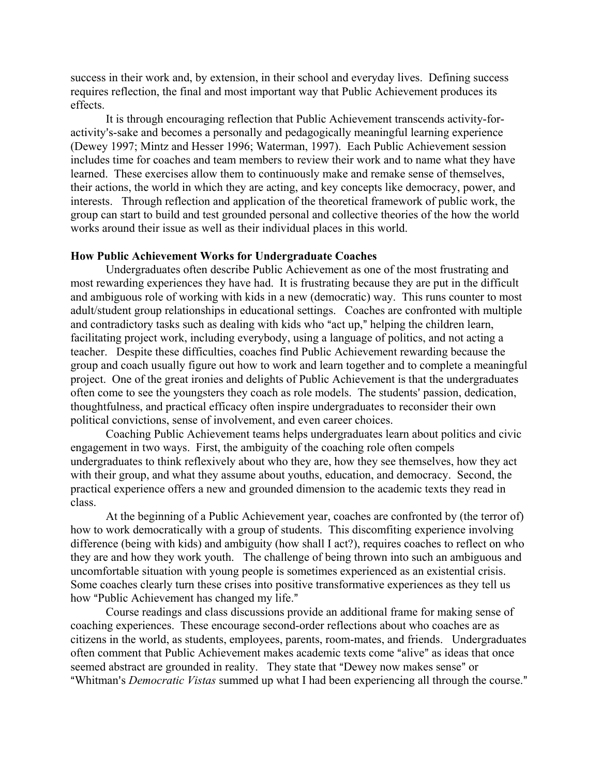success in their work and, by extension, in their school and everyday lives. Defining success requires reflection, the final and most important way that Public Achievement produces its effects.

It is through encouraging reflection that Public Achievement transcends activity-foractivity's-sake and becomes a personally and pedagogically meaningful learning experience (Dewey 1997; Mintz and Hesser 1996; Waterman, 1997). Each Public Achievement session includes time for coaches and team members to review their work and to name what they have learned. These exercises allow them to continuously make and remake sense of themselves, their actions, the world in which they are acting, and key concepts like democracy, power, and interests. Through reflection and application of the theoretical framework of public work, the group can start to build and test grounded personal and collective theories of the how the world works around their issue as well as their individual places in this world.

## **How Public Achievement Works for Undergraduate Coaches**

Undergraduates often describe Public Achievement as one of the most frustrating and most rewarding experiences they have had. It is frustrating because they are put in the difficult and ambiguous role of working with kids in a new (democratic) way. This runs counter to most adult/student group relationships in educational settings. Coaches are confronted with multiple and contradictory tasks such as dealing with kids who "act up," helping the children learn, facilitating project work, including everybody, using a language of politics, and not acting a teacher. Despite these difficulties, coaches find Public Achievement rewarding because the group and coach usually figure out how to work and learn together and to complete a meaningful project. One of the great ironies and delights of Public Achievement is that the undergraduates often come to see the youngsters they coach as role models. The students' passion, dedication, thoughtfulness, and practical efficacy often inspire undergraduates to reconsider their own political convictions, sense of involvement, and even career choices.

Coaching Public Achievement teams helps undergraduates learn about politics and civic engagement in two ways. First, the ambiguity of the coaching role often compels undergraduates to think reflexively about who they are, how they see themselves, how they act with their group, and what they assume about youths, education, and democracy. Second, the practical experience offers a new and grounded dimension to the academic texts they read in class.

At the beginning of a Public Achievement year, coaches are confronted by (the terror of) how to work democratically with a group of students. This discomfiting experience involving difference (being with kids) and ambiguity (how shall I act?), requires coaches to reflect on who they are and how they work youth. The challenge of being thrown into such an ambiguous and uncomfortable situation with young people is sometimes experienced as an existential crisis. Some coaches clearly turn these crises into positive transformative experiences as they tell us how "Public Achievement has changed my life."

Course readings and class discussions provide an additional frame for making sense of coaching experiences. These encourage second-order reflections about who coaches are as citizens in the world, as students, employees, parents, room-mates, and friends. Undergraduates often comment that Public Achievement makes academic texts come "alive" as ideas that once seemed abstract are grounded in reality. They state that "Dewey now makes sense" or "Whitman's *Democratic Vistas* summed up what I had been experiencing all through the course."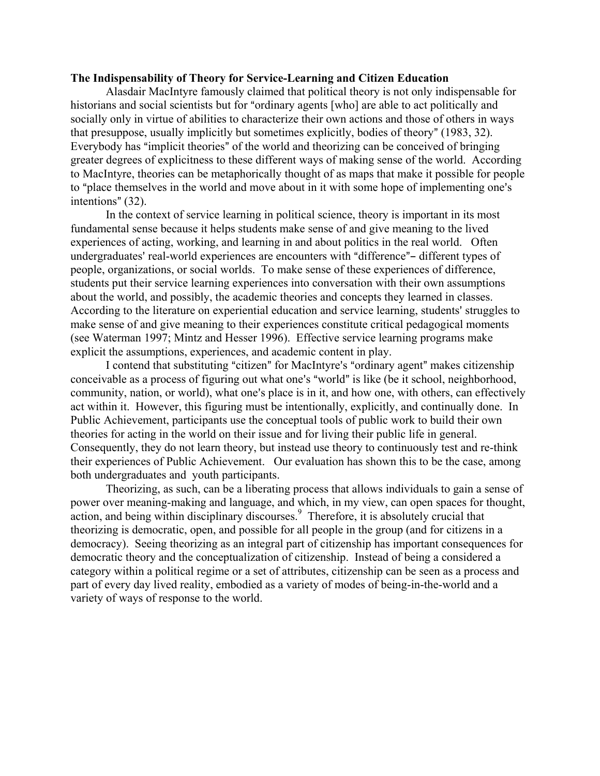#### **The Indispensability of Theory for Service-Learning and Citizen Education**

Alasdair MacIntyre famously claimed that political theory is not only indispensable for historians and social scientists but for "ordinary agents [who] are able to act politically and socially only in virtue of abilities to characterize their own actions and those of others in ways that presuppose, usually implicitly but sometimes explicitly, bodies of theory" (1983, 32). Everybody has "implicit theories" of the world and theorizing can be conceived of bringing greater degrees of explicitness to these different ways of making sense of the world. According to MacIntyre, theories can be metaphorically thought of as maps that make it possible for people to "place themselves in the world and move about in it with some hope of implementing one's intentions"  $(32)$ .

In the context of service learning in political science, theory is important in its most fundamental sense because it helps students make sense of and give meaning to the lived experiences of acting, working, and learning in and about politics in the real world. Often undergraduates' real-world experiences are encounters with "difference"- different types of people, organizations, or social worlds. To make sense of these experiences of difference, students put their service learning experiences into conversation with their own assumptions about the world, and possibly, the academic theories and concepts they learned in classes. According to the literature on experiential education and service learning, students' struggles to make sense of and give meaning to their experiences constitute critical pedagogical moments (see Waterman 1997; Mintz and Hesser 1996). Effective service learning programs make explicit the assumptions, experiences, and academic content in play.

I contend that substituting "citizen" for MacIntyre's "ordinary agent" makes citizenship conceivable as a process of figuring out what one's "world" is like (be it school, neighborhood, community, nation, or world), what one's place is in it, and how one, with others, can effectively act within it. However, this figuring must be intentionally, explicitly, and continually done. In Public Achievement, participants use the conceptual tools of public work to build their own theories for acting in the world on their issue and for living their public life in general. Consequently, they do not learn theory, but instead use theory to continuously test and re-think their experiences of Public Achievement. Our evaluation has shown this to be the case, among both undergraduates and youth participants.

Theorizing, as such, can be a liberating process that allows individuals to gain a sense of power over meaning-making and language, and which, in my view, can open spaces for thought, action, and being within disciplinary discourses.<sup>[9](#page-9-8)</sup> Therefore, it is absolutely crucial that theorizing is democratic, open, and possible for all people in the group (and for citizens in a democracy). Seeing theorizing as an integral part of citizenship has important consequences for democratic theory and the conceptualization of citizenship. Instead of being a considered a category within a political regime or a set of attributes, citizenship can be seen as a process and part of every day lived reality, embodied as a variety of modes of being-in-the-world and a variety of ways of response to the world.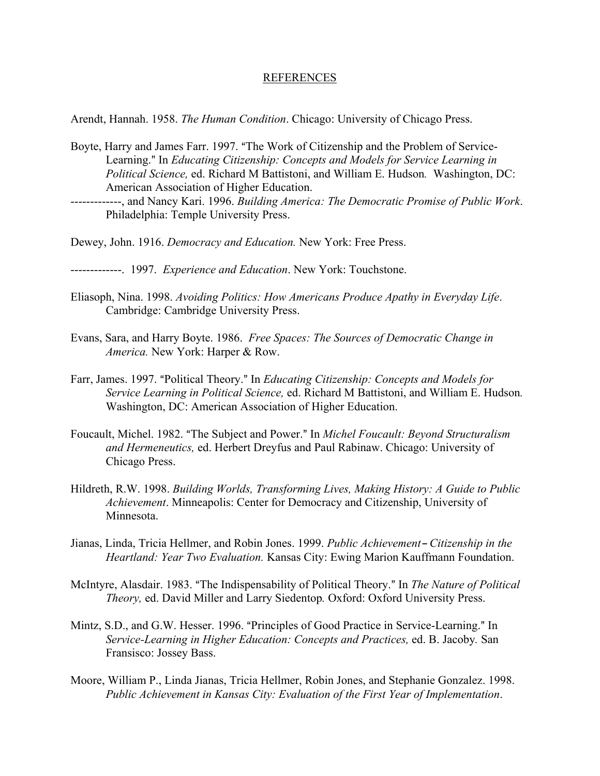#### **REFERENCES**

Arendt, Hannah. 1958. *The Human Condition*. Chicago: University of Chicago Press.

- Boyte, Harry and James Farr. 1997. "The Work of Citizenship and the Problem of Service-Learning." In *Educating Citizenship: Concepts and Models for Service Learning in Political Science,* ed. Richard M Battistoni, and William E. Hudson*.* Washington, DC: American Association of Higher Education.
- -------------, and Nancy Kari. 1996. *Building America: The Democratic Promise of Public Work*. Philadelphia: Temple University Press.

Dewey, John. 1916. *Democracy and Education.* New York: Free Press.

-------------. 1997. *Experience and Education*. New York: Touchstone.

- Eliasoph, Nina. 1998. *Avoiding Politics: How Americans Produce Apathy in Everyday Life*. Cambridge: Cambridge University Press.
- Evans, Sara, and Harry Boyte. 1986. *Free Spaces: The Sources of Democratic Change in America.* New York: Harper & Row.
- Farr, James. 1997. "Political Theory." In *Educating Citizenship: Concepts and Models for Service Learning in Political Science,* ed. Richard M Battistoni, and William E. Hudson*.* Washington, DC: American Association of Higher Education.
- Foucault, Michel. 1982. "The Subject and Power." In *Michel Foucault: Beyond Structuralism and Hermeneutics,* ed. Herbert Dreyfus and Paul Rabinaw. Chicago: University of Chicago Press.
- Hildreth, R.W. 1998. *Building Worlds, Transforming Lives, Making History: A Guide to Public Achievement*. Minneapolis: Center for Democracy and Citizenship, University of Minnesota.
- Jianas, Linda, Tricia Hellmer, and Robin Jones. 1999. *Public Achievement-Citizenship in the Heartland: Year Two Evaluation.* Kansas City: Ewing Marion Kauffmann Foundation.
- McIntyre, Alasdair. 1983. "The Indispensability of Political Theory." In *The Nature of Political Theory,* ed. David Miller and Larry Siedentop*.* Oxford: Oxford University Press.
- Mintz, S.D., and G.W. Hesser. 1996. "Principles of Good Practice in Service-Learning." In *Service-Learning in Higher Education: Concepts and Practices,* ed. B. Jacoby*.* San Fransisco: Jossey Bass.
- Moore, William P., Linda Jianas, Tricia Hellmer, Robin Jones, and Stephanie Gonzalez. 1998. *Public Achievement in Kansas City: Evaluation of the First Year of Implementation*.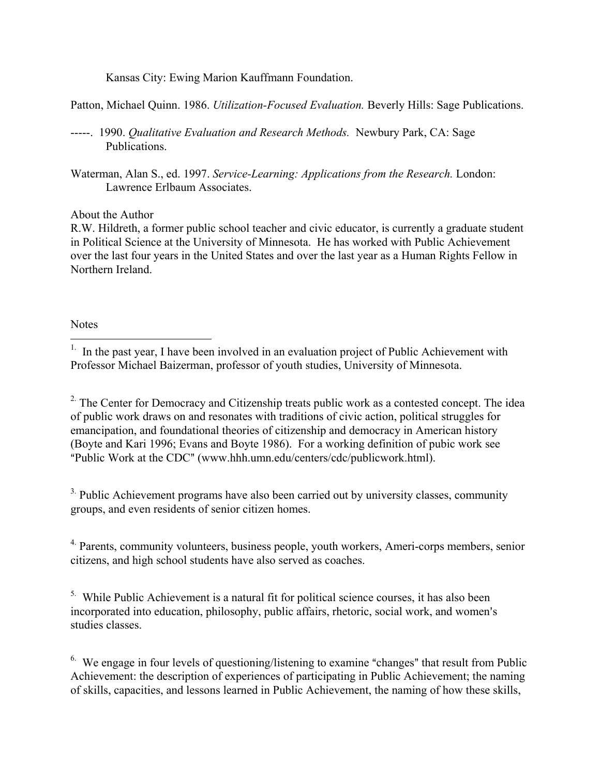Kansas City: Ewing Marion Kauffmann Foundation.

Patton, Michael Quinn. 1986. *Utilization-Focused Evaluation.* Beverly Hills: Sage Publications.

- -----. 1990. *Qualitative Evaluation and Research Methods.* Newbury Park, CA: Sage Publications.
- Waterman, Alan S., ed. 1997. *Service-Learning: Applications from the Research.* London: Lawrence Erlbaum Associates.

About the Author

R.W. Hildreth, a former public school teacher and civic educator, is currently a graduate student in Political Science at the University of Minnesota. He has worked with Public Achievement over the last four years in the United States and over the last year as a Human Rights Fellow in Northern Ireland.

Notes

 $\overline{a}$ 

<sup>2.</sup> The Center for Democracy and Citizenship treats public work as a contested concept. The idea of public work draws on and resonates with traditions of civic action, political struggles for emancipation, and foundational theories of citizenship and democracy in American history (Boyte and Kari 1996; Evans and Boyte 1986). For a working definition of pubic work see "Public Work at the CDC" (www.hhh.umn.edu/centers/cdc/publicwork.html).

<sup>3.</sup> Public Achievement programs have also been carried out by university classes, community groups, and even residents of senior citizen homes.

<sup>4</sup>. Parents, community volunteers, business people, youth workers, Ameri-corps members, senior citizens, and high school students have also served as coaches.

 $<sup>5</sup>$ . While Public Achievement is a natural fit for political science courses, it has also been</sup> incorporated into education, philosophy, public affairs, rhetoric, social work, and women's studies classes.

<sup>6.</sup> We engage in four levels of questioning/listening to examine "changes" that result from Public Achievement: the description of experiences of participating in Public Achievement; the naming of skills, capacities, and lessons learned in Public Achievement, the naming of how these skills,

 $1$ . In the past year, I have been involved in an evaluation project of Public Achievement with Professor Michael Baizerman, professor of youth studies, University of Minnesota.